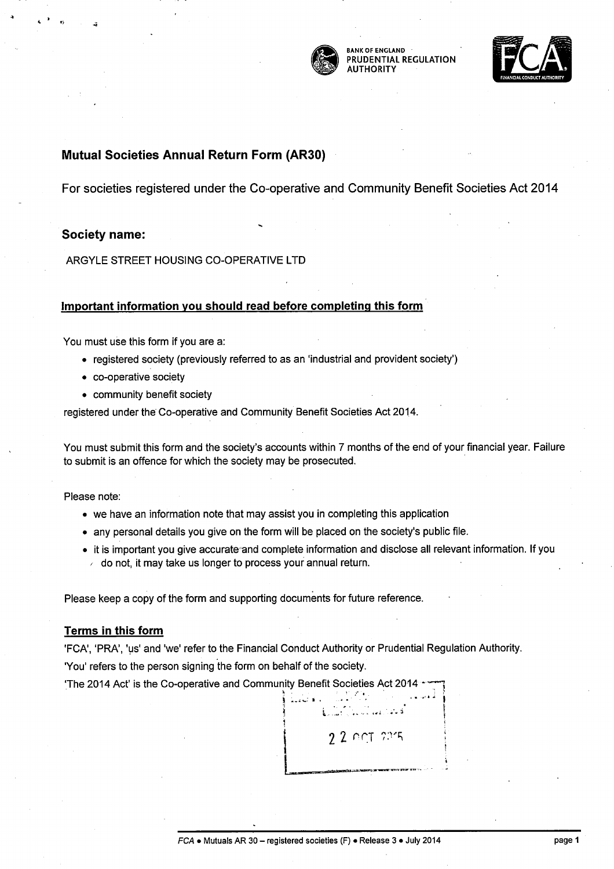

BANK OF ENGLAND PRUDENTIAL REGULATION **AUTHORITY** 



## **Mutual Societies Annual Return Form (AR30)**

For societies registered under the Co-operative and Community Benefit Societies Act 2014

## **Society name:**

ARGYLE STREET HOUSING CO-OPERATIVE LTD

## **Important information you should read before completing this form**

You must use this form if you are a:

- registered society (previously referred to as an 'industrial and provident society')
- co-operative society
- community benefit society

registered under the Co-operative and Community Benefit Societies Act 2014.

You must submit this form and the society's accounts within 7 months of the end of your financial year. Failure to submit is an offence for which the society may be prosecuted.

Please note:

- we have an information note that may assist you in completing this application
- any personal details you give on the form will be placed on the society's public file.
- it is important you give accurate and complete information and disclose all relevant information. If you *<sup>r</sup>*do not, it may take us longer to process your annual return.

 $\sum_{i=1}^n\sum_{j=1}^n\sum_{j=1}^n\sum_{j=1}^n\sum_{j=1}^n\sum_{j=1}^n\sum_{j=1}^n\sum_{j=1}^n\sum_{j=1}^n\sum_{j=1}^n\sum_{j=1}^n\sum_{j=1}^n\sum_{j=1}^n\sum_{j=1}^n\sum_{j=1}^n\sum_{j=1}^n\sum_{j=1}^n\sum_{j=1}^n\sum_{j=1}^n\sum_{j=1}^n\sum_{j=1}^n\sum_{j=1}^n\sum_{j=1}^n\sum_{j=1}^n\sum_{j$ 

22 001 225

;

Please keep a copy of the form and supporting documents for future reference.

## **Terms in this form**

'FCA', 'PRA', 'us' and 'we' refer to the Financial Conduct Authority or Prudential Regulation Authority. 'You' refers to the person signing the form on behalf of the society.

The 2014 Act' is the Co-operative and Community Benefit Societies Act 2014 **.**<br>  $\begin{pmatrix} 1 & 1 & 1 \\ 1 & 1 & 1 \\ 1 & 1 & 1 \end{pmatrix}$ h .  $\mathbf{f} = \mathbf{f} \cdot \mathbf{f} + \mathbf{f} \cdot \mathbf{f} + \mathbf{f} \cdot \mathbf{f} + \mathbf{f} \cdot \mathbf{f} + \mathbf{f} \cdot \mathbf{f} + \mathbf{f} \cdot \mathbf{f} + \mathbf{f} \cdot \mathbf{f} + \mathbf{f} \cdot \mathbf{f} + \mathbf{f} \cdot \mathbf{f} + \mathbf{f} \cdot \mathbf{f} + \mathbf{f} \cdot \mathbf{f} + \mathbf{f} \cdot \mathbf{f} + \mathbf{f} \cdot \mathbf{f} + \mathbf{f} \cdot \mathbf{f}$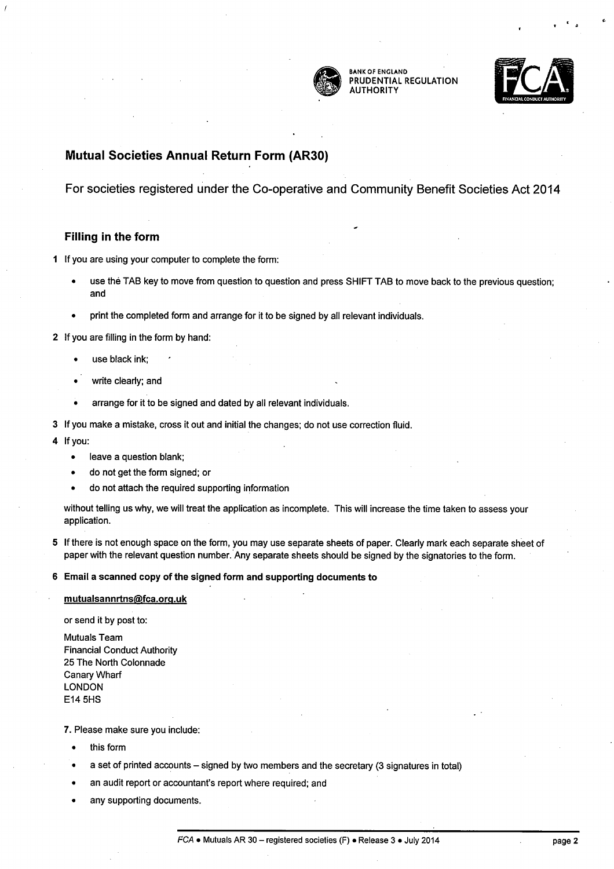

BANK OF ENGLAND PRUDENTIAL REGULATION **AUTHORITY** 



## **Mutual Societies Annual Return Form (AR30)**

For societies registered under the Co-operative and Community Benefit Societies Act 2014

## **Filling in the form**

1 If you are using your computer to complete the form:

- use the TAB key to move from question to question and press SHIFT TAB to move back to the previous question; and
- print the completed form and arrange for it to be signed by all relevant individuals.

2 If you are filling in the form by hand:

- use black ink;
- write clearly; and
- arrange for it to be signed and dated by all relevant individuals.
- 3 If you make a mistake, cross it out and initial the changes; do not use correction fluid.
- 4 lfyou:
	- leave a question blank;
	- do not get the form signed; or
	- do not attach the required supporting information

without telling us why, we will treat the application as incomplete. This will increase the time taken to assess your application.

5 If there is not enough space on the form, you may use separate sheets of paper. Clearly mark each separate sheet of paper with the relevant question number. Any separate sheets should be signed by the signatories to the form.

6 Email a scanned copy of the signed form and supporting documents to

### mutualsannrtns@fca.org.uk

or send it by post to:

Mutuals Team Financial Conduct Authority 25 The North Colonnade Canary Wharf LONDON E14 SHS

7. Please make sure you include:

- this form
- a set of printed accounts signed by two members and the secretary (3 signatures in total)
- an audit report or accountant's report where required; and
- any supporting documents.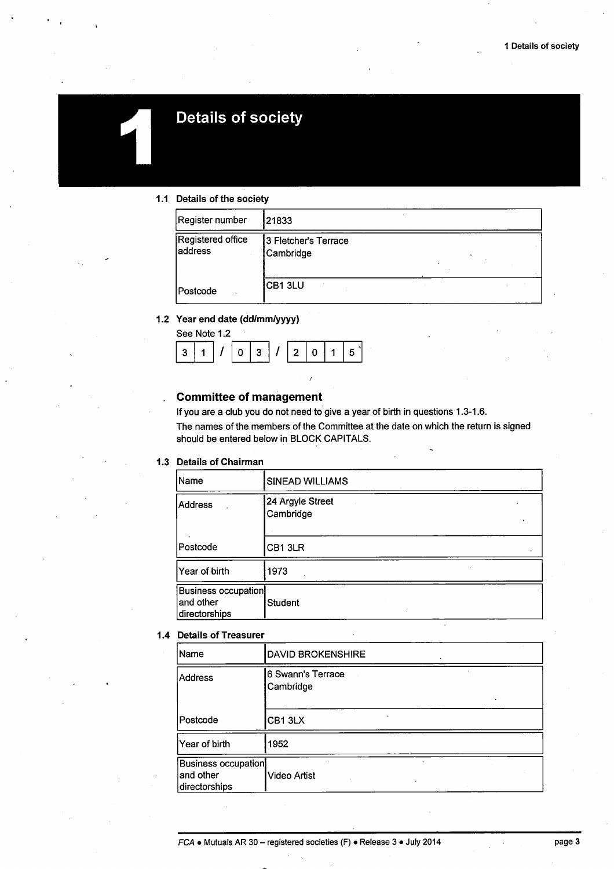

## **Details of society**

## 1.1 Details of the society

| Register number              | 21833                             |  |
|------------------------------|-----------------------------------|--|
| Registered office<br>address | 3 Fletcher's Terrace<br>Cambridge |  |
| <b>Postcode</b>              | CB1 3LU                           |  |

|                | 1.2 Year end date (dd/mm/yyyy) |  |  |  |  |  |  |
|----------------|--------------------------------|--|--|--|--|--|--|
|                | See Note 1.2                   |  |  |  |  |  |  |
| 3 <sup>1</sup> | $1/ 1 $ $0$ $3$ $ 1 $ $2$ $ 0$ |  |  |  |  |  |  |
|                |                                |  |  |  |  |  |  |

## Committee of management

If you are a club you do not need to give a year of birth in questions 1.3-1.6. The names of the members of the Committee at the date on which the return is signed should be entered below in BLOCK CAPITALS.

### 1.3 Details of Chairman

| Name                                                     | <b>SINEAD WILLIAMS</b>        |
|----------------------------------------------------------|-------------------------------|
| Address                                                  | 24 Argyle Street<br>Cambridge |
| Postcode                                                 | CB1 3LR                       |
| Year of birth                                            | 1973                          |
| <b>Business occupation</b><br>and other<br>directorships | <b>Student</b>                |

### 1.4 Details of Treasurer

| Name                                              | <b>DAVID BROKENSHIRE</b>       |  |
|---------------------------------------------------|--------------------------------|--|
| Address                                           | 6 Swann's Terrace<br>Cambridge |  |
| Postcode                                          | CB13LX                         |  |
| Year of birth                                     | 1952                           |  |
| Business occupation<br>and other<br>directorships | Video Artist                   |  |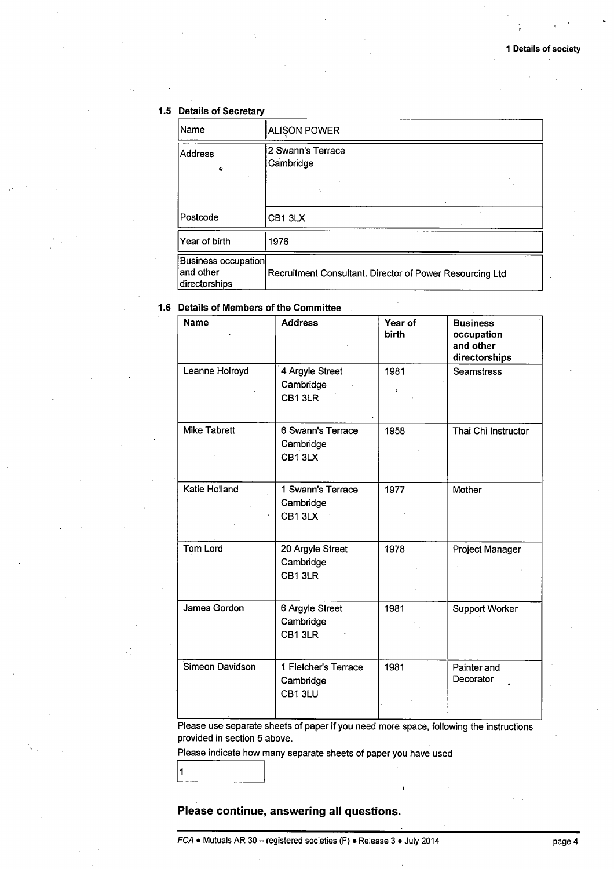## **1.5 Details of Secretary**

| Name                                                      | <b>ALISON POWER</b>                                      |
|-----------------------------------------------------------|----------------------------------------------------------|
| Address<br>e.                                             | 2 Swann's Terrace<br>Cambridge                           |
|                                                           |                                                          |
| Postcode                                                  | CB1 3LX                                                  |
| lYear of birth                                            | 1976                                                     |
| <b>Business occupation</b><br>land other<br>directorships | Recruitment Consultant. Director of Power Resourcing Ltd |

## **1.6 Details of Members of the Committee**

| <b>Name</b>         | <b>Address</b>                              | Year of<br><b>birth</b> | <b>Business</b><br>occupation<br>and other<br>directorships |
|---------------------|---------------------------------------------|-------------------------|-------------------------------------------------------------|
| Leanne Holroyd      | 4 Argyle Street<br>Cambridge<br>CB13LR      | 1981<br>$\epsilon$      | <b>Seamstress</b>                                           |
| <b>Mike Tabrett</b> | 6 Swann's Terrace<br>Cambridge<br>CB13LX    | 1958                    | Thai Chi Instructor                                         |
| Katie Holland       | 1 Swann's Terrace<br>Cambridge<br>CB13LX    | 1977                    | Mother                                                      |
| <b>Tom Lord</b>     | 20 Argyle Street<br>Cambridge<br>CB13LR     | 1978                    | Project Manager                                             |
| James Gordon        | 6 Argyle Street<br>Cambridge<br>CB1 3LR     | 1981                    | <b>Support Worker</b>                                       |
| Simeon Davidson     | 1 Fletcher's Terrace<br>Cambridge<br>CB13LU | 1981                    | Painter and<br>Decorator                                    |

Please use separate sheets of paper if you need more space, following the instructions provided in section 5 above.

Please indicate how many separate sheets of paper you have used

1

I 1 I

## **Please continue, answering all questions.**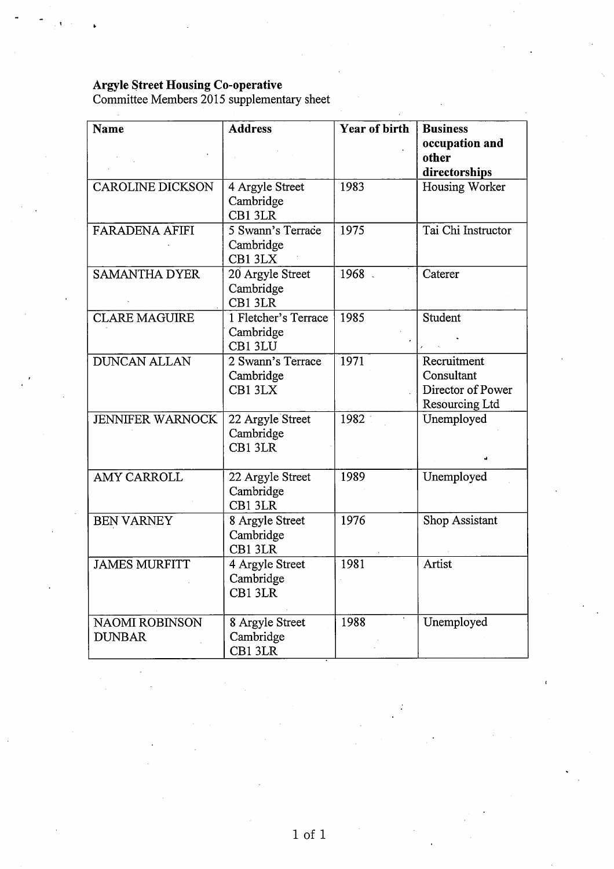## **Argyle Street Housing Co-operative**

Committee Members 2015 supplementary sheet

| Name                                   | <b>Address</b>                               | <b>Year of birth</b> | <b>Business</b><br>occupation and<br>other<br>directorships      |
|----------------------------------------|----------------------------------------------|----------------------|------------------------------------------------------------------|
| <b>CAROLINE DICKSON</b>                | 4 Argyle Street<br>Cambridge<br>CB1 3LR      | 1983                 | Housing Worker                                                   |
| <b>FARADENA AFIFI</b>                  | 5 Swann's Terrace<br>Cambridge<br>CB1 3LX    | 1975                 | Tai Chi Instructor                                               |
| <b>SAMANTHA DYER</b>                   | 20 Argyle Street<br>Cambridge<br>CB1 3LR     | 1968.                | Caterer                                                          |
| <b>CLARE MAGUIRE</b>                   | 1 Fletcher's Terrace<br>Cambridge<br>CB1 3LU | 1985                 | Student                                                          |
| <b>DUNCAN ALLAN</b>                    | 2 Swann's Terrace<br>Cambridge<br>CB1 3LX    | 1971                 | Recruitment<br>Consultant<br>Director of Power<br>Resourcing Ltd |
| <b>JENNIFER WARNOCK</b>                | 22 Argyle Street<br>Cambridge<br>CB1 3LR     | 1982                 | Unemployed                                                       |
| <b>AMY CARROLL</b>                     | 22 Argyle Street<br>Cambridge<br>CB1 3LR     | 1989                 | Unemployed                                                       |
| <b>BEN VARNEY</b>                      | 8 Argyle Street<br>Cambridge<br>CB1 3LR      | 1976                 | Shop Assistant                                                   |
| <b>JAMES MURFITT</b>                   | 4 Argyle Street<br>Cambridge<br>CB1 3LR      | 1981                 | Artist                                                           |
| <b>NAOMI ROBINSON</b><br><b>DUNBAR</b> | 8 Argyle Street<br>Cambridge<br>CB1 3LR      | 1988                 | Unemployed                                                       |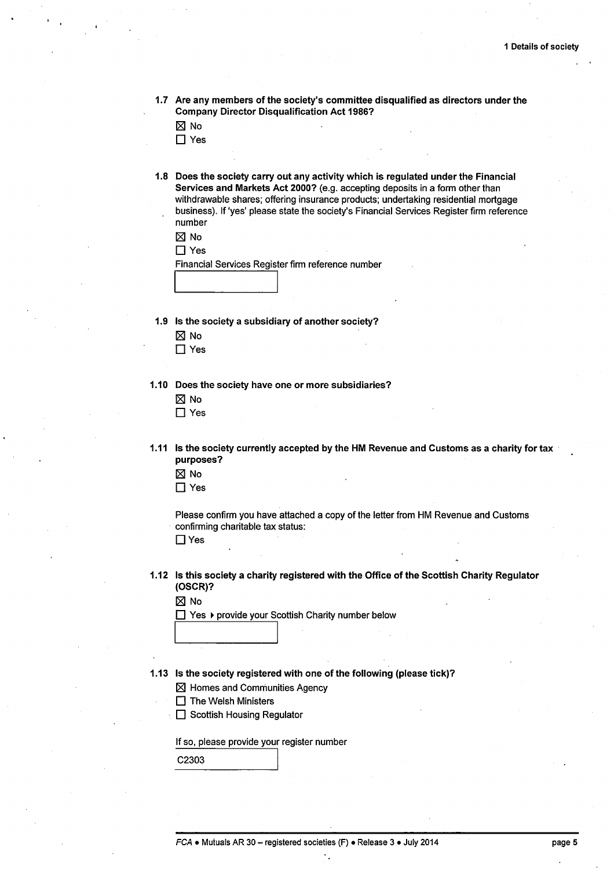1.7 Are any members of the society's committee disqualified as directors under the Company Director Disqualification Act 1986?

 $\boxtimes$  No

- $\Box$  Yes
- 1.8 Does the society carry out any activity which is regulated under the Financial Services and Markets Act 2000? (e.g. accepting deposits in a form other than withdrawable shares; offering insurance products; undertaking residential mortgage business). If 'yes' please state the society's Financial Services Register firm reference number

|--|--|

 $\Box$  Yes

Financial Services Register firm reference number

1.9 Is the society a subsidiary of another society?

I I

- $\nabla$  No
- □ Yes

1.10 Does the society have one or more subsidiaries?

 $\boxtimes$  No □ Yes

- 1.11 Is the society currently accepted by the HM Revenue and Customs as a charity for tax purposes?
	- $\boxtimes$  No
	- $\Box$  Yes

Please confirm you have attached a copy of the letter from HM Revenue and Customs confirming charitable tax status:  $\Box$  Yes

1.12 Is this society a charity registered with the Office of the Scottish Charity Regulator (OSCR)?

 $\boxtimes$  No

 $\Box$  Yes  $\blacktriangleright$  provide your Scottish Charity number below

- 1.13 Is the society registered with one of the following (please tick)?
	- $<sup>8</sup>$  Homes and Communities Agency</sup>
	- $\Box$  The Welsh Ministers
	- □ Scottish Housing Regulator

I I

If so, please provide your register number

C<sub>2303</sub>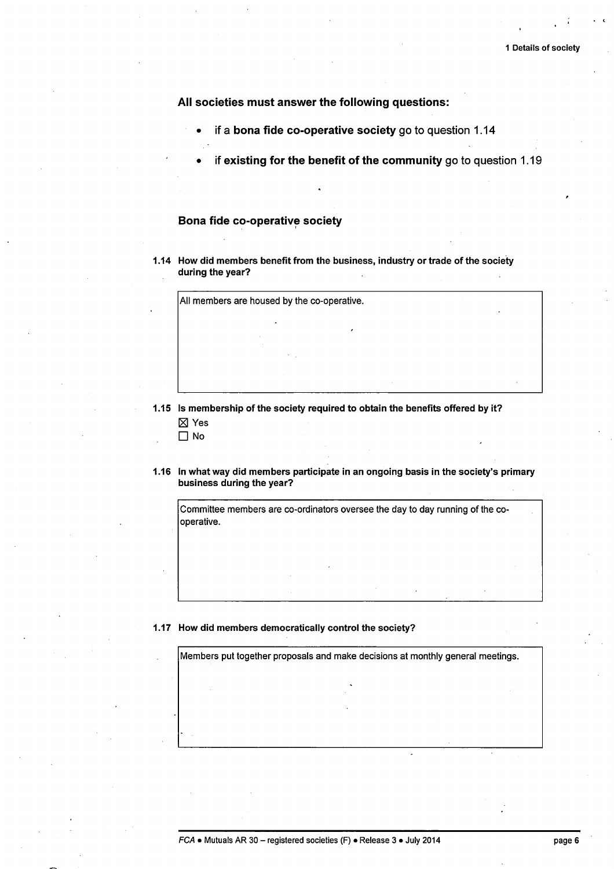All societies must answer the following questions:

- if a bona fide co-operative society go to question 1.14
- if existing for the benefit of the community go to question  $1.19$

## Bona fide co-operative society

1.14 How did members benefit from the business, industry or trade of the society during the year?

All members are housed by the co-operative.

1.15 Is membership of the society required to obtain the benefits offered by it? 181 Yes

D No

1.16 In what way did members participate in an ongoing basis in the society's primary business during the year?

Committee members are co-ordinators oversee the day to day running of the cooperative.

## 1.17 How did members democratically control the society?

Members put together proposals and make decisions at monthly general meetings.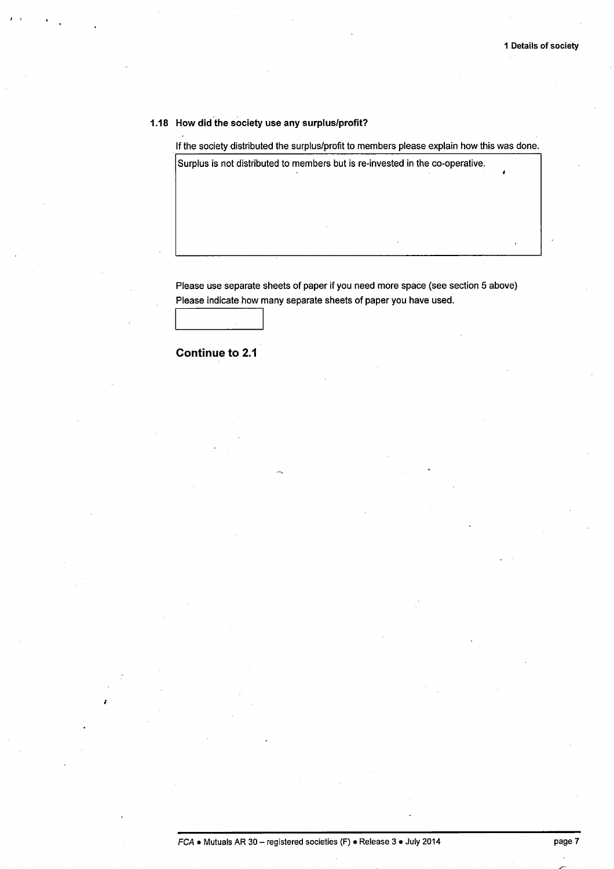## 1.18 How did the society use any surplus/profit?

If the society distributed the surplus/profit to members please explain how this was done.

Surplus is not distributed to members but is re-invested in the co-operative.

Please use separate sheets of paper if you need more space (see section 5 above) Please indicate how many separate sheets of paper you have used.

**Continue to 2.1** 

I I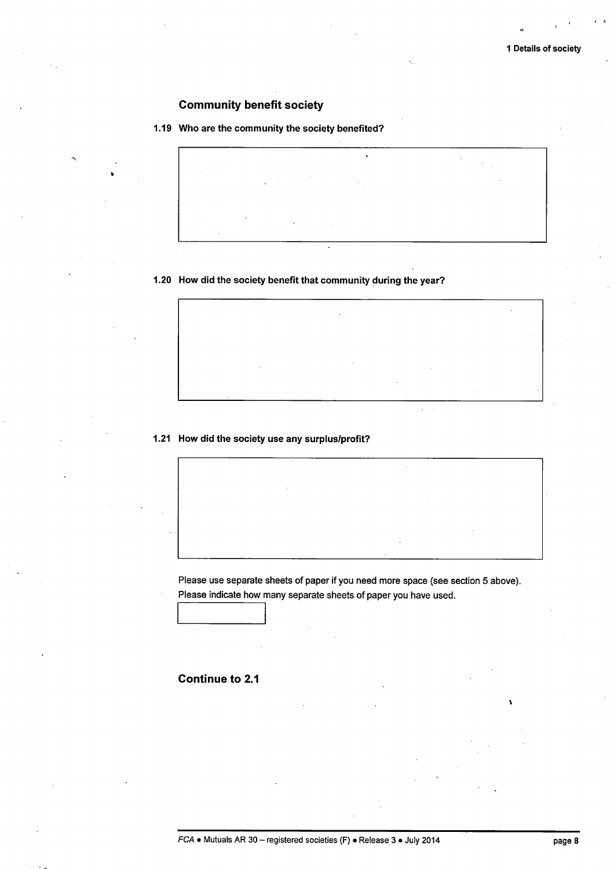## Community benefit society

## 1.19 Who are the community the society benefited?



## 1.20 How did the society benefit that community during the year?

## 1.21 How did the society use any surplus/profit?

Please use separate sheets of paper if you need more space (see section 5 above). Please indicate how many separate sheets of paper you have used.

## Continue to 2.1

I I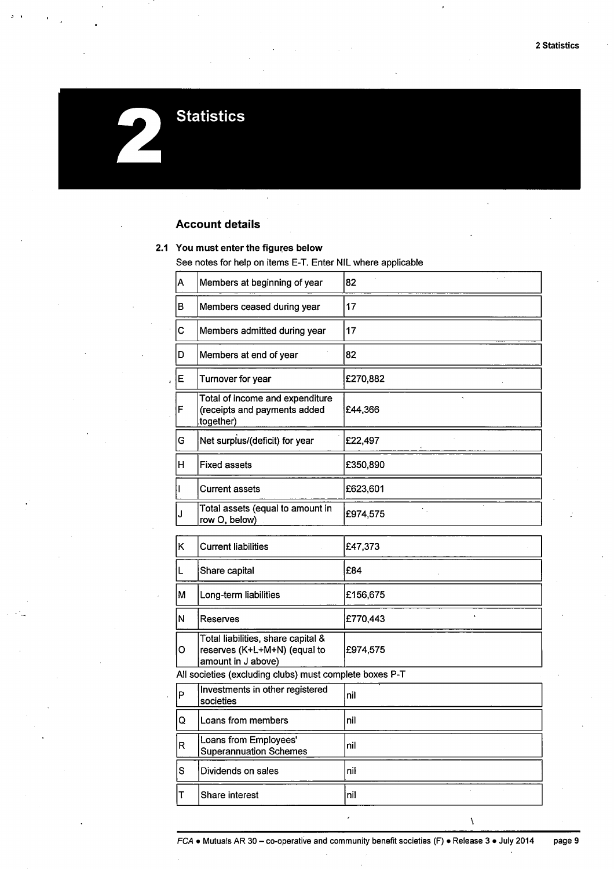# **Statistics**

## **Account details**

## 2.1 You must enter the figures below

See notes for help on items E-T. Enter NIL where applicable

| Α | Members at beginning of year                                                             | 82       |
|---|------------------------------------------------------------------------------------------|----------|
| в | Members ceased during year                                                               | 17       |
| с | Members admitted during year                                                             | 17       |
| D | Members at end of year                                                                   | 82       |
| Е | Turnover for year                                                                        | £270,882 |
| F | Total of income and expenditure<br>(receipts and payments added<br>together)             | £44,366  |
| G | Net surplus/(deficit) for year                                                           | £22,497  |
| н | <b>Fixed assets</b>                                                                      | £350,890 |
| Τ | <b>Current assets</b>                                                                    | £623,601 |
| J | Total assets (equal to amount in<br>row O, below)                                        | £974,575 |
| Κ | <b>Current liabilities</b>                                                               | £47,373  |
| L | Share capital                                                                            | £84      |
| M | Long-term liabilities                                                                    | £156,675 |
| N | Reserves                                                                                 | £770,443 |
| о | Total liabilities, share capital &<br>reserves (K+L+M+N) (equal to<br>amount in J above) | £974,575 |
|   | All societies (excluding clubs) must complete boxes P-T                                  |          |
| P | Investments in other registered<br>societies                                             | nil      |
| Q | Loans from members                                                                       | nil      |
| R | Loans from Employees'<br><b>Superannuation Schemes</b>                                   | nil      |
| S | Dividends on sales                                                                       | nil      |
| т | Share interest                                                                           | nil      |

 $\lambda$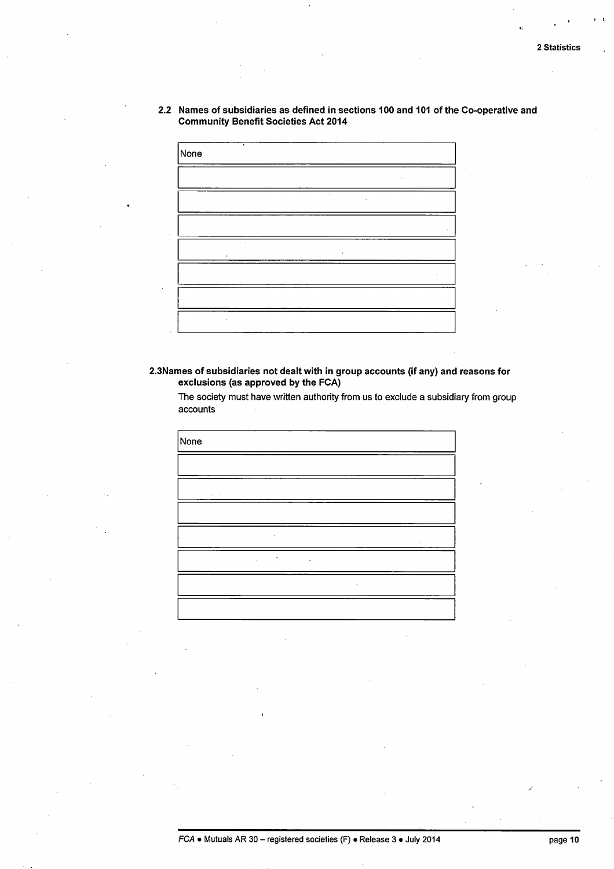$\epsilon$  .  $\epsilon$ 

2.2 Names of subsidiaries as defined in sections 100 and 101 of the Co-operative and Community Benefit Societies Act 2014



## 2.3Names of subsidiaries not dealt with in group accounts (if any) and reasons for exclusions (as approved by the FCA)

None  $\ddot{\phantom{0}}$ 

The society must have written authority from us to exclude a subsidiary from group accounts

/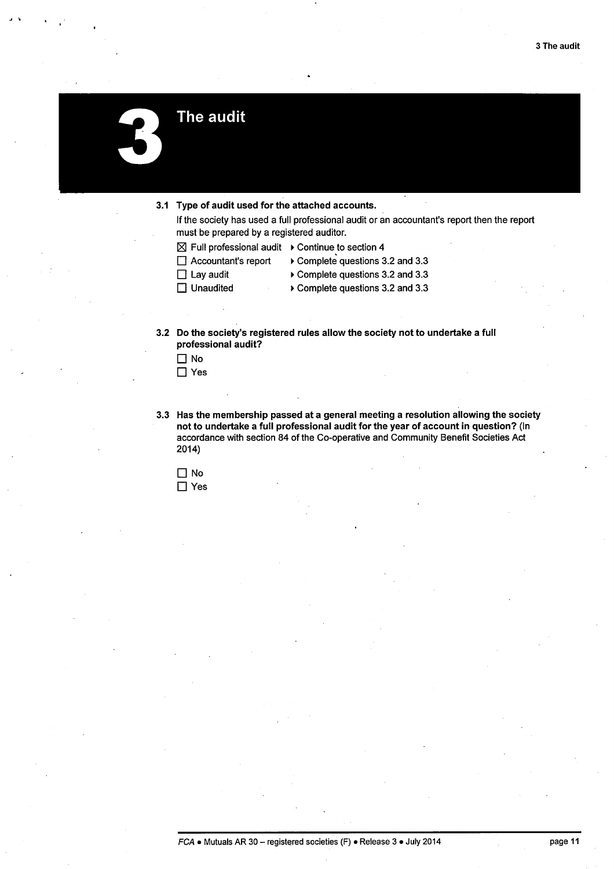The audit

- 3.1 Type of audit used for the attached accounts.
	- If the society has used a full professional audit or an accountant's report then the report must be prepared by a registered auditor.
	- $\boxtimes$  Full professional audit  $\;\blacktriangleright$  Continue to section 4
	- □ Accountant's report
- ~ Complete questions 3.2 and 3.3
- $\Box$  Lay audit
- **D** Unaudited
- ~ Complete questions 3.2 and 3.3
	- ~ Complete questions 3.2 and 3.3
- 3.2 Do the society's registered rules allow the society not to undertake a full professional audit?

| ٦ŀ<br>מ |
|---------|
| ٠<br>E  |

3.3 Has the membership passed at a general meeting a resolution allowing the society not to undertake a full professional audit for the year of account in question? (In accordance with section 84 of the Co-operative and Community Benefit Societies Act 2014)

 $\Box$  No □ Yes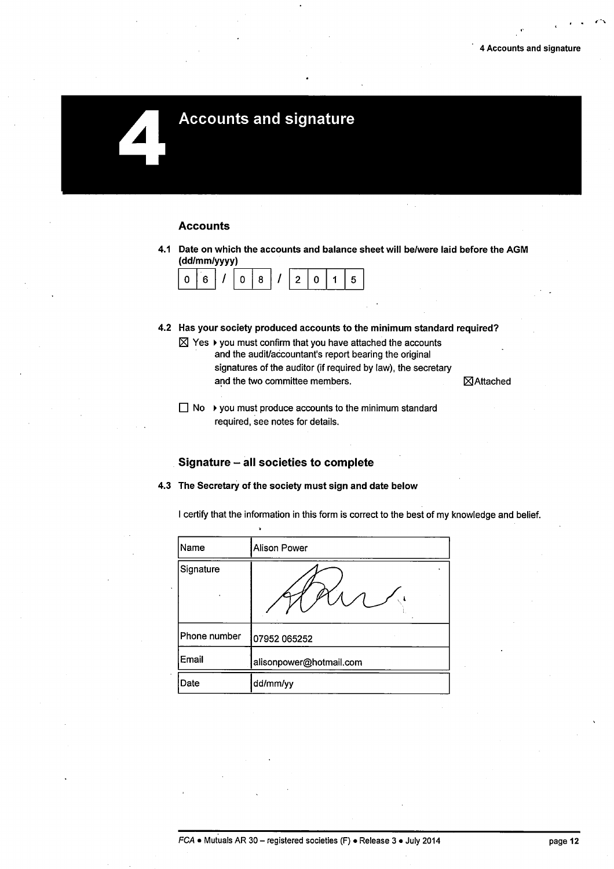## **Accounts and signature**

### **Accounts**

4.1 Date on which the accounts and balance sheet will be/were laid before the AGM  $\boxed{0 \mid 8}$  /  $\boxed{2 \mid 0 \mid 1 \mid 5}$ (dd/mm/yyyy)

| ., |  | Ω | L |  |  |  |
|----|--|---|---|--|--|--|
|----|--|---|---|--|--|--|

- 4.2 Has your society produced accounts to the minimum standard required?
	- $\boxtimes$  Yes  $\blacktriangleright$  you must confirm that you have attached the accounts and the audit/accountant's report bearing the original signatures of the auditor (if required by law), the secretary and the two committee members.  $\boxtimes$  Attached
		-
	- $\Box$  No  $\rightarrow$  you must produce accounts to the minimum standard required, see notes for details.

## Signature - all societies to complete

4.3 The Secretary of the society must sign and date below

I certify that the information in this form is correct to the best of my knowledge and belief.

| Name         | <b>Alison Power</b>     |
|--------------|-------------------------|
| Signature    |                         |
| Phone number | 07952 065252            |
| Email        | alisonpower@hotmail.com |
| Date         | dd/mm/yy                |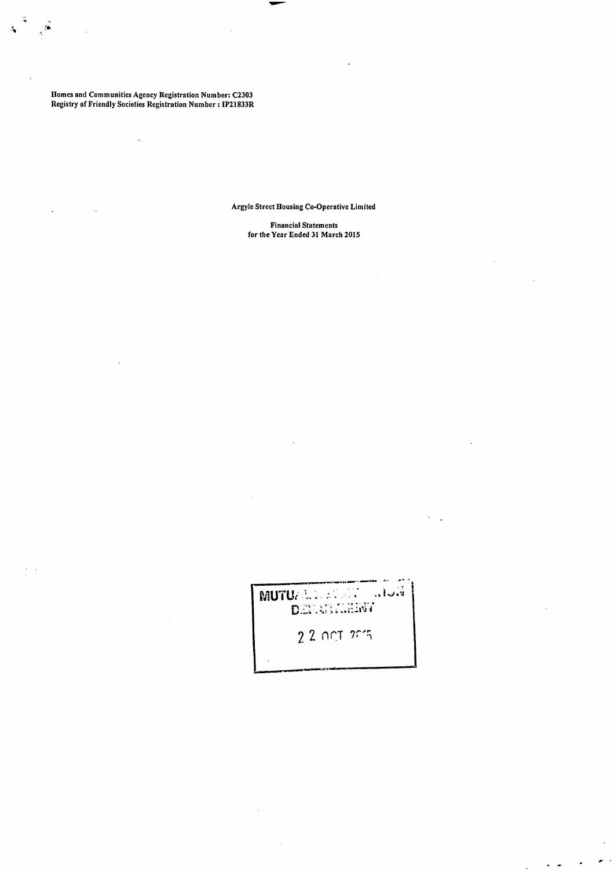Homes and Communities Agency Registration Number: C2303 Registry of Friendly Societies Registration Number: IP21833R

Argyle Street Housing Co-Operative Limited

Financial Statements for the Year Ended 31 March 2015

MUTUAL MANUSI RIJA 2 2 nr:T 2015

×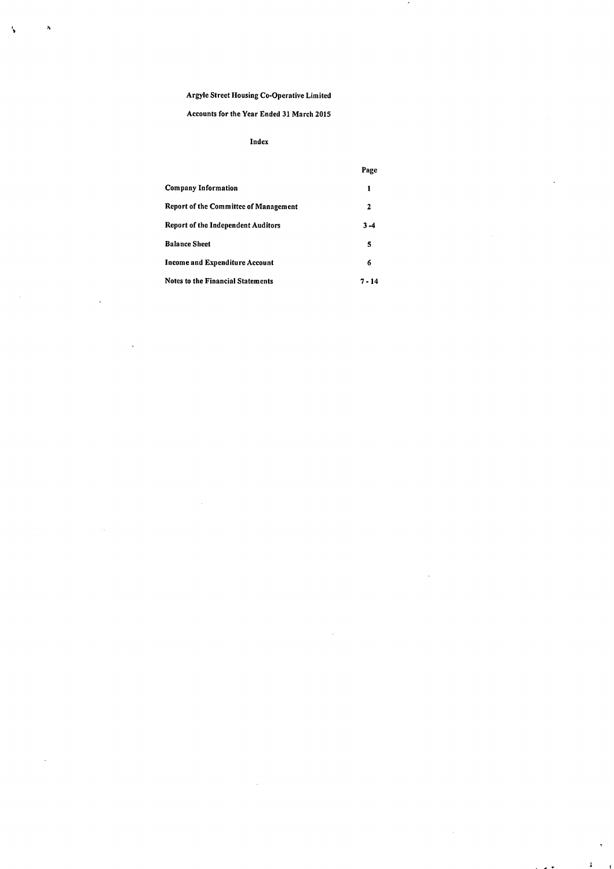$\overline{\phantom{a}}$ 

',

 $\lambda$ 

## Accounts for the Year Ended 31 March 2015

## Index

|                                       | Page     |
|---------------------------------------|----------|
| Company Information                   | 1        |
| Report of the Committee of Management | 2        |
| Report of the Independent Auditors    | $3 - 4$  |
| <b>Balance Sheet</b>                  | 5        |
| Income and Expenditure Account        | 6        |
| Notes to the Financial Statements     | $7 - 14$ |

 $\ddot{\phantom{a}}$ 

. . .

ł,

į.  $\epsilon$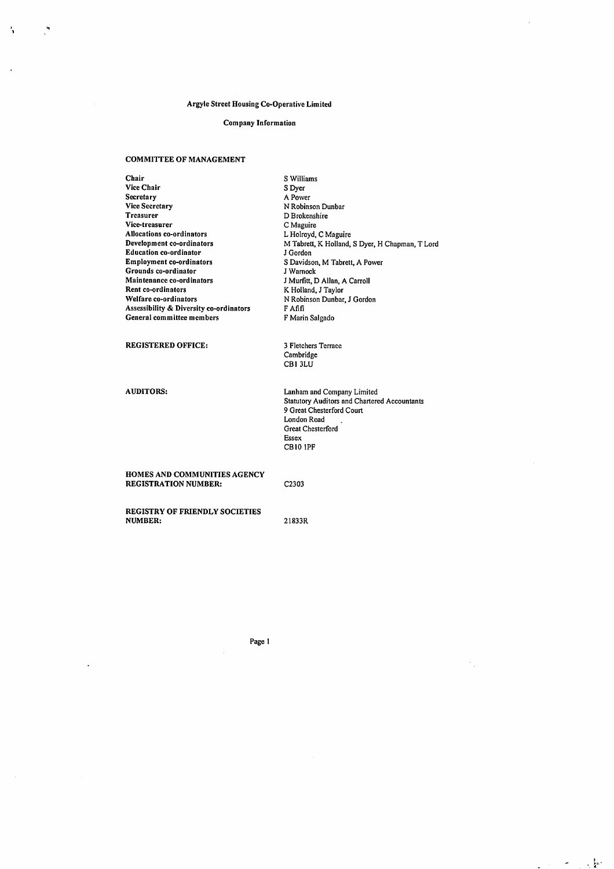#### Company Information

#### COMMIITEE OF MANAGEMENT

 $\mathcal{L}$ 

N

Chair Vice Chair Secretary Vice Secretary Treasurer Vice-treasurer Allocations co-ordinators Development co-ordinators Education co-ordinator Employment co-ordinators Grounds co-ordinator Maintenance co-ordinators Rent co-ordinators Welfare co-ordinators Assessibility & Diversity co-ordinators General committee members REGISTERED OFFICE: AUDITORS: HOMES AND COMMUNITIES AGENCY REGISTRATION NUMBER: REGISTRY OF FRIENDLY SOCIETIES NUMBER: SWilliams SDyer A Power N Robinson Dunbar D Brokenshire C Maguire L Holroyd, C Maguire M Tabrett, K Holland, S Dyer, H Chapman, T Lord J Gordon S Davidson, M Tabrett, A Power J Warnock J Murfitt, D Allan, A Carroll K Holland, J Taylor N Robinson Dunbar, J Gordon FAfifi F Marin Salgado 3 Fletchers Terrace Cambridge CBI 3LU Lanham and Company Limited Statutory Auditors and Chartered Accountants 9 Great Chesterford Court London Road Great Chesterford Essex CBIO !PF C2303 21833R

Page I

 $\sigma_{\rm{max}}$  ,  $\frac{1}{2}$ 

 $\Delta \sim 10^{11}$  m  $^{-1}$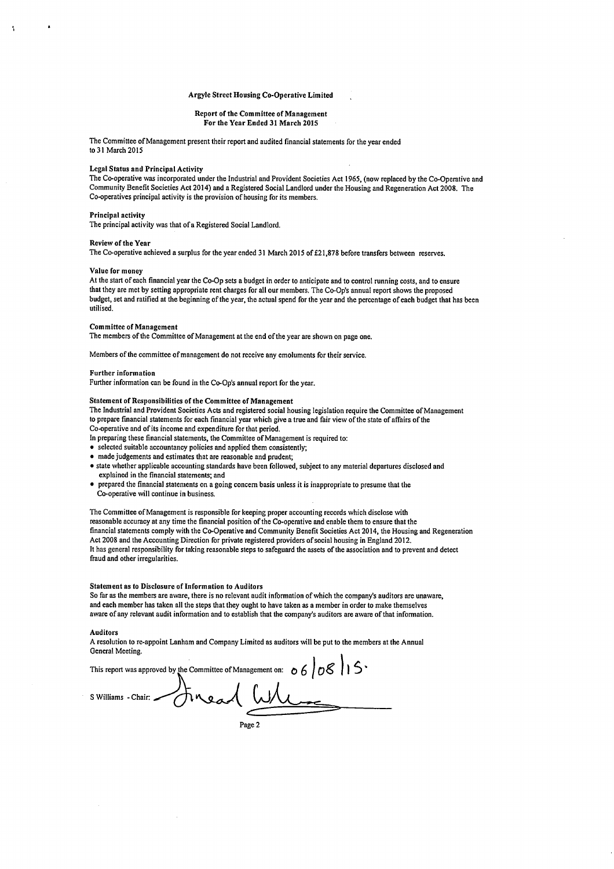#### Report of the Committee of Management For the Year Ended 31 March 2015

The Committee of Management present their report and audited financial statements for the year ended to 31 March 2015

#### Legal Status and Principal Activity

The Co-operative was incorporated under the Industrial and Provident Societies Act 1965, (now replaced by the Co-Operative and Community Benefit Societies Act 2014) and a Registered Social Landlord under the Housing and Regeneration Act 2008. The Co-operatives principal activity is the provision of housing for its members.

#### Principal activity

The principal activity was that ofa Registered Social Landlord.

#### Review of the Year

The Co-operative achieved a surplus for the year ended 31 March 2015 of £21,878 before transfers between reserves.

#### Value for money

At the start of each financial year the Co-Op sets a budget in order to anticipate and to control running costs, and to ensure that they are met by setting appropriate rent charges for all our members. The Co-Op's annual report shows the proposed budget, set and ratified at the beginning of the year, the actual spend for the year and the percentage of each budget that has been utilised.

#### Committee of Management

The members of the Committee of Management at the end of the year are shown on page one.

Members of the committee of management do not receive any emoluments for their service.

#### Further information

Further information can be found in the Co-Op's annual report for the year.

#### Statement of Responsibilities of the Committee of Management

The Industrial and Provident Societies Acts and registered social housing legislation require the Committee of Management to prepare financial statements for each financial year which give a true and fair view of the state of affairs of the Co-operative and of its income and expenditure for that period.

- In preparing these financial statements, the Committee of Management is required to:
- selected suitable accountancy policies and applied them consistently;
- made judgements and estimates that are reasonable and prudent;
- state whether applicable accounting standards have been followed, subject to any material departures disclosed and explained in the financial statements; and
- prepared the financial statements on a going concern basis unless it is inappropriate to presume that the Co-operative will continue in business.

The Committee of Management is responsible for keeping proper accounting records which disclose with reasonable accuracy at any time the financial position of the Co-operative and enable them to ensure that the financial statements comply with the Co-Operative and Community Benefit Societies Act 2014, the Housing and Regeneration Act 2008 and the Accounting Direction for private registered providers of social housing in England 2012. It has general responsibility for taking reasonable steps to safeguard the assets of the association and to prevent and detect fraud and other irregularities.

#### Statement as to Disclosure of Information to Auditors

So far as the members are aware, there is no relevant audit information of which the company's auditors are unaware, and each member has taken all the steps that they ought to have taken as a member in order to make themselves aware of any relevant audit information and to establish that the company's auditors are aware of that information.

#### Auditors

A resolution to re-appoint Lanham and Company Limited as auditors will be put to the members at the Annual General Meeting. À

| This report was approved by the Committee of Management on: $\circ 6$   $\circ$ $\&$   $\circ$ |
|------------------------------------------------------------------------------------------------|
| s Williams - Chair: - Finead Where                                                             |
| Page 2                                                                                         |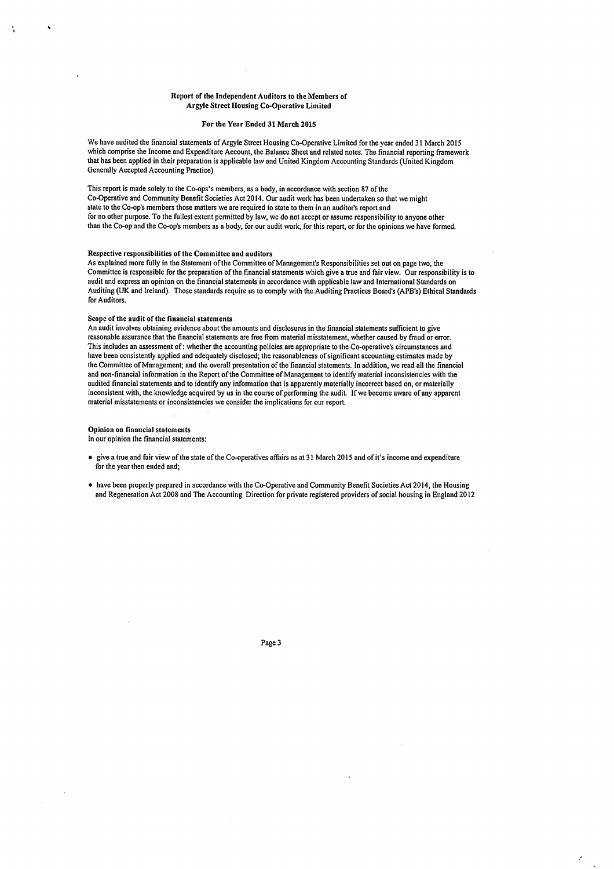#### Report of the Independent Auditors to *the* Members of Argyle Street Housing Co-Operative Limited

#### For *the* Year Ended 31 March 2015

We have audited the financial statements of Argyle Street Housing Co-Operative Limited for the year ended 31 March 2015 which comprise the Income and Expenditure Account, the Balance Sheet and related notes. The financial reporting framework that has been applied in their preparation is applicable law and United Kingdom Accounting Standards (United Kingdom Generally Accepted Accounting Practice)

This report is made solely to the Co-ops's members, as a body, in accordance with section 87 of the Co-Operative and Community Benefit Societies Act 2014. Our audit work has been undertaken so that we might state to the Co-op's members those matters we are required to state to them in an auditor's report and for no other purpose. To the fullest extent permitted by law, we do not accept or assume responsibility to anyone other than the Co-op and the Co-op's members as a body, for our audit work, for this report, or for the opinions we have formed.

#### Respective responsibilities of the Committee and auditors

As explained more fully in the Statement of the Committee of Management's Responsibilities set out on page two, the Committee is responsible for the preparation of the financial statements which give a true and fair view. Our responsibility is to audit and express an opinion on the financial statements in accordance with applicable law and International Standards on Auditing (UK and Ireland). Those standards require us to comply with the Auditing Practices Board's (APB's) Ethical Standards for Auditors.

#### Scope of the audit of the financial statements

An audit involves obtaining evidence about the amounts and disclosures in the financial statements sufficient to give reasonable assurance that the financial statements are free from material misstatement, whether caused by fraud or error. This includes an assessment of: whether the accounting policies are appropriate to the Co-operative's circumstances and have been consistently applied and adequately disclosed; the reasonableness of significant accounting estimates made by the Committee of Management; and the overall presentation of the financial statements. In addition, we read all the financial and non-financial information in the Report of the Committee of Management to identify material inconsistencies with the audited financial statements and to identify any information that is apparently materially incorrect based on, or materially inconsistent with, the knowledge acquired by us in the course of performing the audit. If we become aware of any apparent material misstatements or inconsistencies we consider the implications for our report

#### Opinion on financial statements

In our opinion the financial statements:

- give a true and fair view of the state of the Co-operatives affairs as at 31 March 2015 and of it's income and expenditure for the year then ended and;
- have been properly prepared in accordance with the Co-Operative and Community Benefit Societies Act 2014, the Housing and Regeneration Act 2008 and The Accounting Direction for private registered providers of social housing in England 2012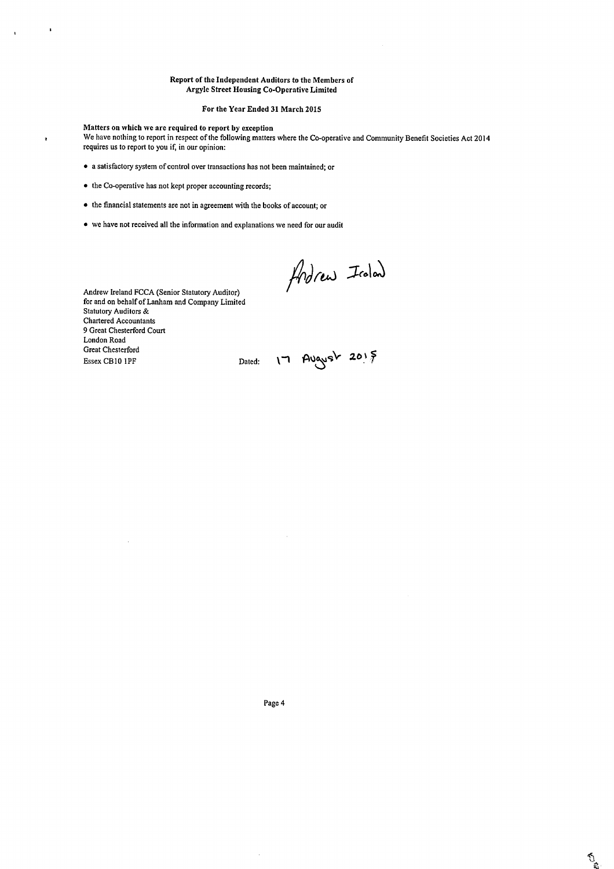#### Report of the Independent Auditors to the Members of Argyle Street Housing Co-Operative Limited

#### For the Year Ended 31 March 2015

Matters on which we are required to report by exception

f,

 $\ddot{\phantom{1}}$ 

We have nothing to report in respect of the following matters where the Co-operative and Community Benefit Societies Act 2014 requires us to report to you if, in our opinion:

- a satisfactory system of control over transactions has not been maintained; or
- the Co-operative has not kept proper accounting records;
- the financial statements are not in agreement with the books of account; or
- we have not received all the information and explanations we need for our audit

Andrew Iroland

Andrew Ireland FCCA (Senior Statutory Auditor) for and on behalf of Lanham and Company Limited Statutory Auditors & Chartered Accountants 9 Great Chesterford Court London Road Great Chesterford  $\begin{minipage}{.4\linewidth} \textbf{Basex} \textbf{CBI0 IPF} \hspace{2.2cm} \textbf{Dated:} \hspace{2.2cm} \textbf{1} \hspace{2.2cm} \textbf{AUqvsv} \hspace{2.2cm} \textbf{20} \hspace{2.2cm} \textbf{5} \hspace{2.2cm} \textbf{6} \hspace{2.2cm} \textbf{6} \hspace{2.2cm} \textbf{7} \hspace{2.2cm} \textbf{6} \hspace{2.2cm} \textbf{1} \hspace{2.2cm} \textbf{1} \hspace{2.2cm} \textbf{1} \hspace{$ 

à,

 $\frac{1}{\sqrt{2}}$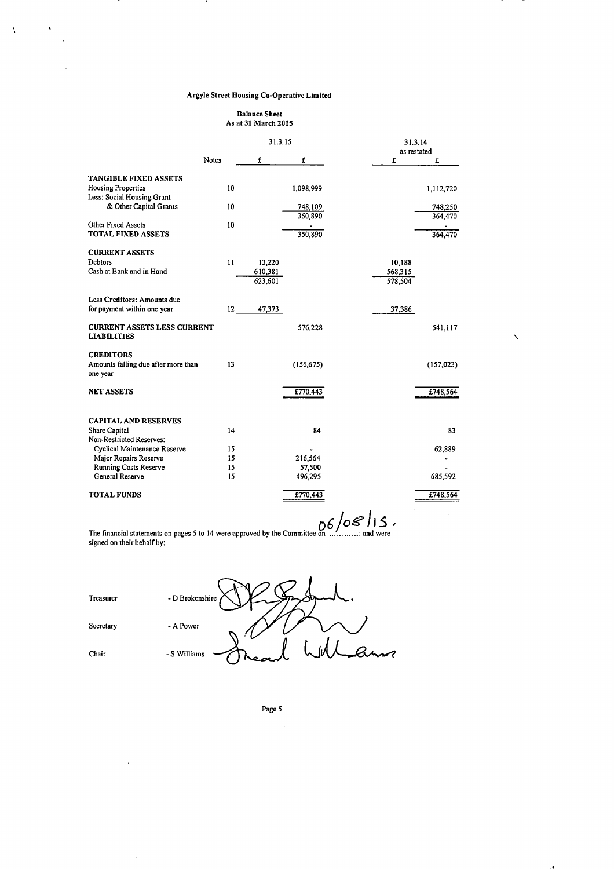$\hat{\mathbf{v}}$ 

 $\hat{\mathcal{A}}$  $\ddot{\phantom{a}}$ 

 $\mathcal{L}$ 

 $\Lambda$  and  $\Lambda$ 

#### Balance Sheet As at 31 March 2015

|                                                                     |       | 31.3.15            | 31.3.14               |   |
|---------------------------------------------------------------------|-------|--------------------|-----------------------|---|
|                                                                     | Notes | £<br>£             | as restated<br>£<br>£ |   |
| TANGIBLE FIXED ASSETS                                               |       |                    |                       |   |
| <b>Housing Properties</b><br>Less: Social Housing Grant             | 10    | 1,098,999          | 1,112,720             |   |
| & Other Capital Grants                                              | 10    | 748,109            | 748,250               |   |
| Other Fixed Assets<br>TOTAL FIXED ASSETS                            | 10    | 350,890<br>350,890 | 364,470<br>364,470    |   |
| <b>CURRENT ASSETS</b>                                               |       |                    |                       |   |
| Debtors                                                             | 11    | 13,220             | 10,188                |   |
| Cash at Bank and in Hand                                            |       | 610,381<br>623,601 | 568,315<br>578,504    |   |
| Less Creditors: Amounts due<br>for payment within one year          | 12    | 47,373             | 37,386                |   |
| <b>CURRENT ASSETS LESS CURRENT</b><br><b>LIABILITIES</b>            |       | 576,228            | 541,117               | ╲ |
| <b>CREDITORS</b><br>Amounts falling due after more than<br>one year | 13    | (156, 675)         | (157,023)             |   |
| <b>NET ASSETS</b>                                                   |       | £770,443           | £748,564              |   |
| <b>CAPITAL AND RESERVES</b>                                         |       |                    |                       |   |
| <b>Share Capital</b>                                                | 14    | 84                 | 83                    |   |
| Non-Restricted Reserves:<br>Cyclical Maintenance Reserve            | 15    |                    | 62,889                |   |
| Major Repairs Reserve                                               | 15    | 216,564            |                       |   |
| <b>Running Costs Reserve</b>                                        | 15    | 57,500             |                       |   |
| General Reserve                                                     | 15    | 496,295            | 685,592               |   |
| <b>TOTAL FUNDS</b>                                                  |       | £770,443           | £748,564              |   |

The financial statements on pages 5 to 14 were approved by the Committee on *with the S* / O S / I S *+* signed on their behalf by:

| Treasurer | - D Brokenshire        |
|-----------|------------------------|
| Secretary | - A Power              |
| Chair     | $\sim$<br>- S Williams |

 $\sim$ 

Page 5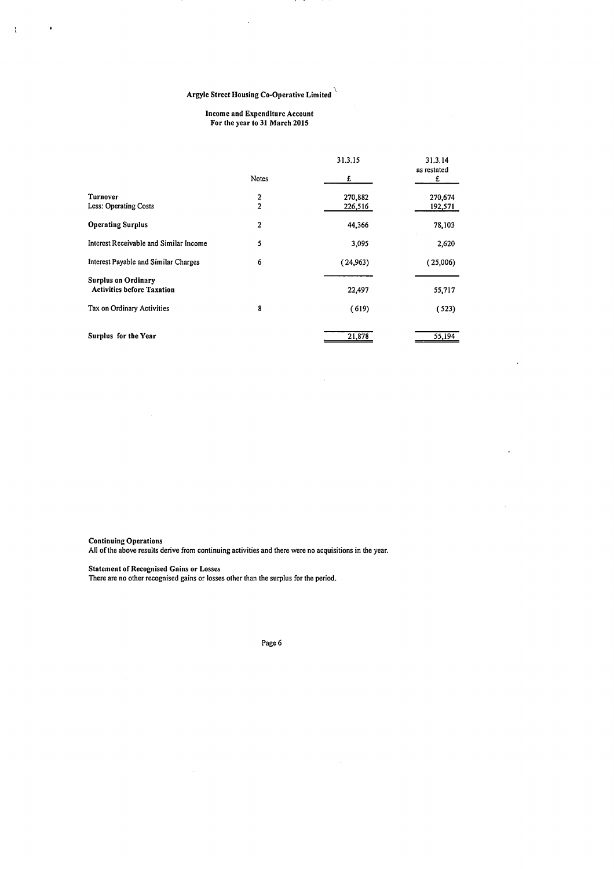÷.

#### Income and Expenditure Account For the year to 31 March 2015

|                                                                 |                | 31.3.15  | 31.3.14<br>as restated |
|-----------------------------------------------------------------|----------------|----------|------------------------|
|                                                                 | <b>Notes</b>   | £        | £                      |
| Turnover                                                        | 2              | 270,882  | 270,674                |
| Less: Operating Costs                                           | $\overline{a}$ | 226,516  | 192,571                |
| <b>Operating Surplus</b>                                        | $\overline{2}$ | 44,366   | 78,103                 |
| Interest Receivable and Similar Income                          | 5              | 3,095    | 2,620                  |
| Interest Payable and Similar Charges                            | 6              | (24,963) | (25,006)               |
| <b>Surplus on Ordinary</b><br><b>Activities before Taxation</b> |                | 22,497   | 55,717                 |
| Tax on Ordinary Activities                                      | 8              | (619)    | (523)                  |
| Surplus for the Year                                            |                | 21,878   | 55,194                 |

 $\ddot{\phantom{0}}$ 

Continuing Operations

 $\frac{1}{4}$ 

 $\cdot$ 

All of the above results derive from continuing activities and there were no acquisitions in the year.

Statement of Recognised Gains or Losses

There are no other recognised gains or losses other than the surplus for the period.

Page 6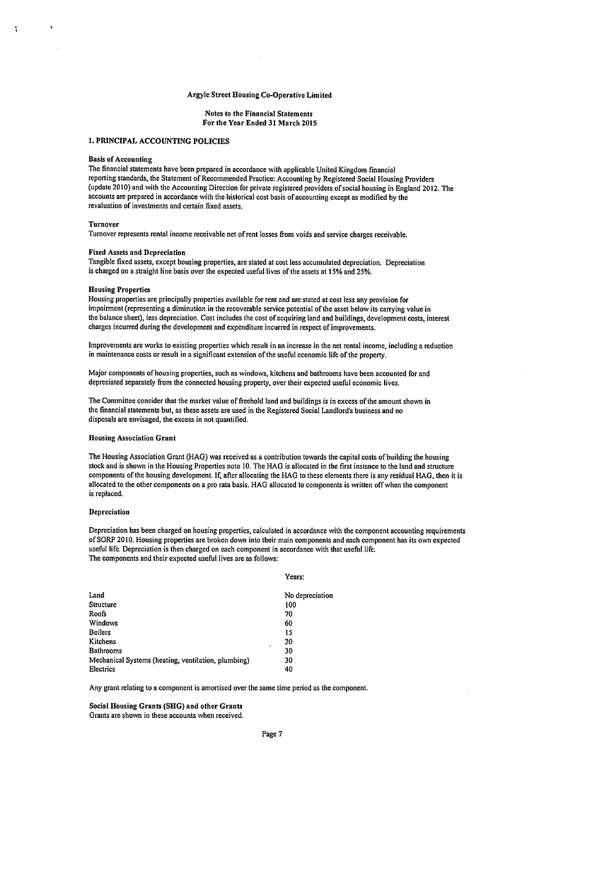#### Notes to the Financial Statements For the Year Ended 31 March 2015

## 1. PRINCIPAL ACCOUNTING POLICIES

#### Basis of Accounting

The financial statements have been prepared in accordance with applicable United Kingdom financial reporting standards, the Statement of Recommended Practice: Accounting by Registered Social Housing Providers (update 2010) and with the Accounting Direction for private registered providers of social housing in England 2012. The accounts are prepared in accordance with the historical cost basis of accounting except as modified by the revaluation of investments and certain fixed assets.

#### Turnover

Turnover represents rental income receivable net of rent losses from voids and service charges receivable.

#### Fixed Assets and Depreciation

Tangible fixed assets, except housing properties, are stated at cost Jess accumulated depreciation. Depreciation is charged on a straight line basis over the expected useful lives of the assets at 15% and 25%.

#### Housing Properties

Housing properties are principally properties available for rent and are stated at cost less any provision for impairment (representing a diminution in the recoverable service potential of the asset below its carrying value in the balance sheet), less depreciation. Cost includes the cost of acquiring land and buildings, development costs, interest charges incurred during the development and expenditure incurred in respect of improvements.

Improvements are works to existing properties which result in an increase in the net rental income, including a reduction in maintenance costs or result in a significant extension of the useful economic life of the property.

Major components of housing properties, such as windows, kitchens and bathrooms have been accounted for and depreciated separately from the connected housing property, over their expected useful economic lives.

The Committee consider that the market value of freehold land and buildings is in excess of the amount shown in the financial statements but, as these assets are used in the Registered Social Landlord's business and no disposals are envisaged, the excess in not quantified.

#### Housing Association Grant

The Housing Association Grant (HAG) was received as a contribution towards the capital costs of building the housing stock and is shown in the Housing Properties note 10. The HAG is allocated in the first instance to the land and structure components of the housing development. If, after allocating the HAG to these elements there is any residual HAG, then it is allocated to the other components on a pro rata basis. HAG allocated to components is written off when the component is replaced.

#### Depreciation

Depreciation has been charged on housing properties, calculated in accordance with the component accounting requirements ofSORP 2010. Housing properties are broken down into their main components and each component has its own expected useful life. Depreciation is then charged on each component in accordance with that useful life. The components and their expected useful lives are as follows:

#### Years:

| Land                                                | No depreciation |
|-----------------------------------------------------|-----------------|
| Structure                                           | 100             |
| Roofs                                               | 70              |
| <b>Windows</b>                                      | 60              |
| <b>Boilers</b>                                      | 15              |
| Kitchens                                            | 20<br>٠         |
| <b>Bathrooms</b>                                    | 30              |
| Mechanical Systems (heating, ventilation, plumbing) | 30              |
| Electrics                                           | 40              |
|                                                     |                 |

Any grant relating to a component is amortised over the same time period as the component.

Social Housing Grants (SHG) and other Grants Grants are shown in these accounts when received.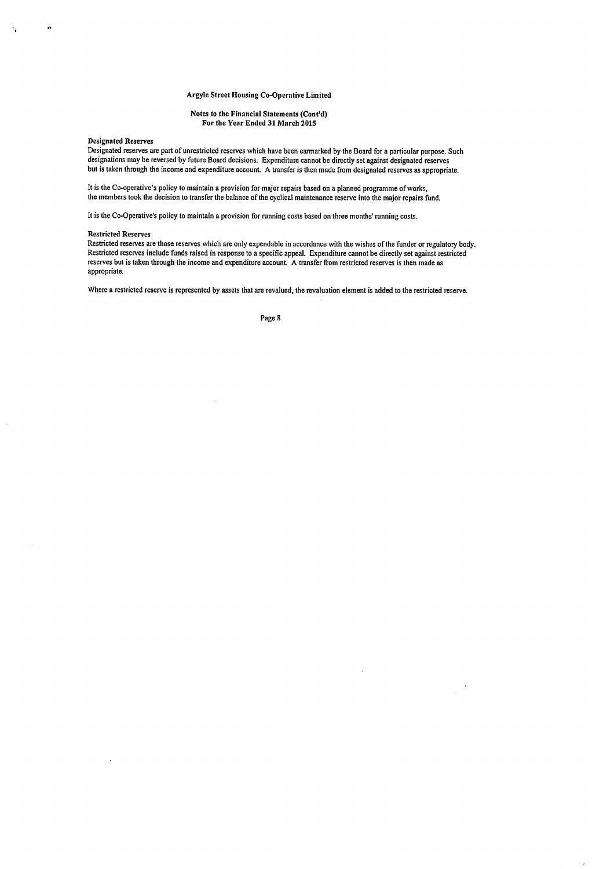#### Notes to the Financial Statements (Cont'd) For the Year Ended 31 March 2015

#### Designated Reserves

 $\ddot{\phantom{a}}$ 

Designated reserves are part of unrestricted reserves which have been earmarked by the Board for a particular purpose. Such designations may be reversed by future Board decisions. Expenditure cannot be directly set against designated reserves but is taken through the income and expenditure account. A transfer is then made from designated reserves as appropriate.

It is the Co-operative's policy to maintain a provision for major repairs based on a planned programme of works, the members took the decision to transfer the balance of the cyclical maintenance reserve into the major repairs fund.

It is the Co-Operative's policy to maintain a provision for running costs based on three months' running costs.

#### Restricted Reserves

Restricted reserves are those reserves which are only expendable in accordance with the wishes of the funder or regulatory body. Restricted reserves include funds raised in response to a specific appeal. Expenditure cannot be directly set against restricted reserves but is taken through the income and expenditure account. A transfer from restricted reserves is then made as appropriate.

Where a restricted reserve is represented by assets that are revalued, the revaluation element is added to the restricted reserve.

Page 8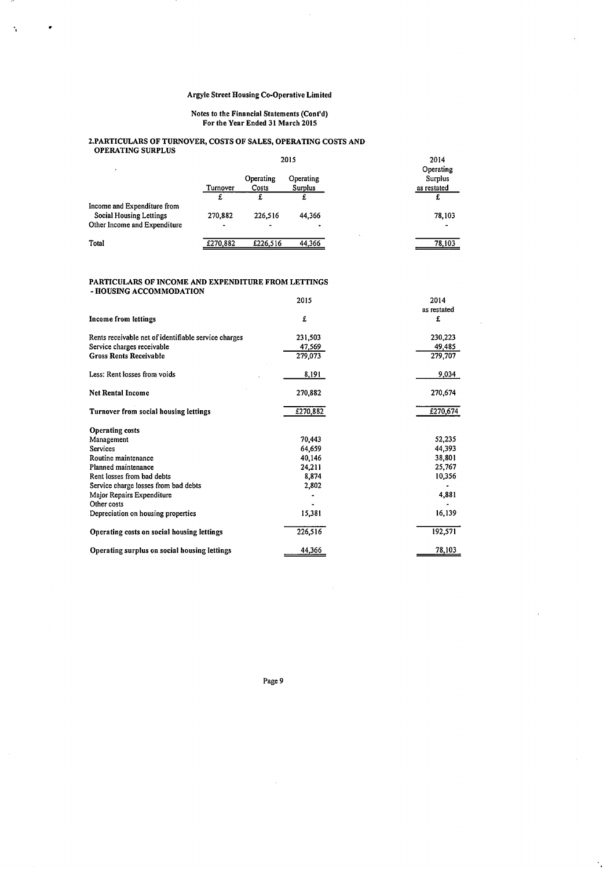$\bar{\gamma}$ 

#### Notes to the Financial Statements (Cont'd) For the Year Ended 31 March 2015

#### 2.PARTICULARS OF TURNOVER, COSTS OF SALES, OPERA TING COSTS AND OPERATING SURPLUS

|                                                                                        | 2015                      |                                         | 2014                 |                                            |
|----------------------------------------------------------------------------------------|---------------------------|-----------------------------------------|----------------------|--------------------------------------------|
| ٠                                                                                      | Turnover                  | Operating<br>Costs                      | Operating<br>Surplus | Operating<br><b>Surplus</b><br>as restated |
|                                                                                        |                           |                                         |                      | £                                          |
| Income and Expenditure from<br>Social Housing Lettings<br>Other Income and Expenditure | 270,882<br>$\blacksquare$ | 226,516<br>$\qquad \qquad \blacksquare$ | 44,366               | 78,103                                     |
| Total                                                                                  | £270,882                  | £226,516                                | 44.366               | 78,103                                     |

#### PARTICULARS OF INCOME AND EXPENDITURE FROM LETTINGS

- HOUSING ACCOMMODATION

 $\bar{\gamma}$ 

 $\cdot$ 

|                                                      | 2015     | 2014        |
|------------------------------------------------------|----------|-------------|
|                                                      |          | as restated |
| <b>Income from lettings</b>                          | £        | £           |
| Rents receivable net of identifiable service charges | 231,503  | 230,223     |
| Service charges receivable                           | 47.569   | 49,485      |
| <b>Gross Rents Receivable</b>                        | 279,073  | 279,707     |
| Less: Rent losses from voids                         | 8,191    | 9,034       |
| <b>Net Rental Income</b>                             | 270,882  | 270,674     |
| Turnover from social housing lettings                | £270,882 | £270,674    |
| <b>Operating costs</b>                               |          |             |
| Management                                           | 70,443   | 52,235      |
| <b>Services</b>                                      | 64,659   | 44,393      |
| Routine maintenance                                  | 40,146   | 38,801      |
| Planned maintenance                                  | 24,211   | 25,767      |
| Rent losses from bad debts                           | 8,874    | 10,356      |
| Service charge losses from bad debts                 | 2,802    |             |
| Major Repairs Expenditure                            |          | 4,881       |
| Other costs                                          |          |             |
| Depreciation on housing properties                   | 15,381   | 16,139      |
| Operating costs on social housing lettings           | 226,516  | 192,571     |
| Operating surplus on social housing lettings         | 44,366   | 78,103      |

Page 9

 $\bar{z}$ 

 $\ddot{\phantom{a}}$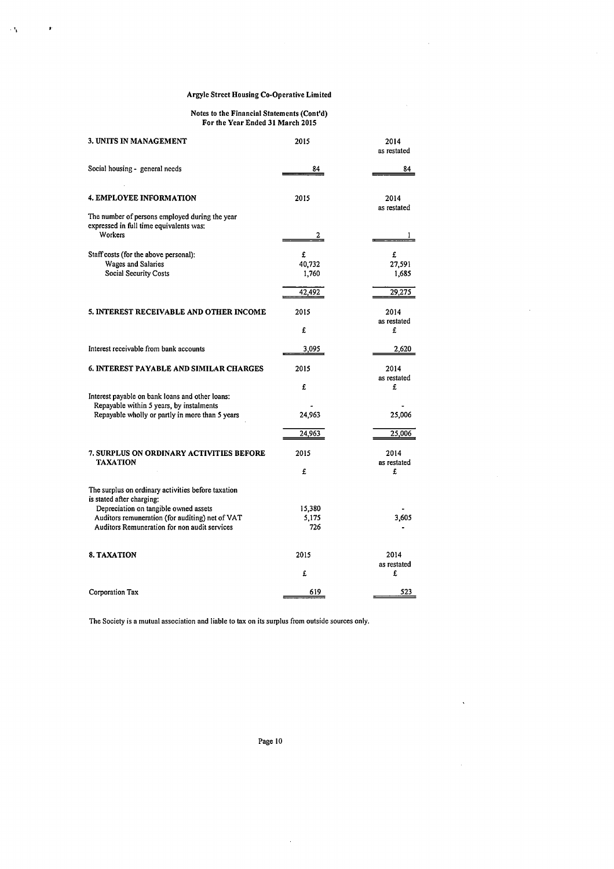$\mathcal{A}_\mathbf{A}$ 

 $\cdot$ 

#### Notes to the Financial Statements (Cont'd) For the Year Ended 31 March 2015

| 3. UNITS IN MANAGEMENT                                                                                                                                                                                                      | 2015                           | 2014<br>as restated            |
|-----------------------------------------------------------------------------------------------------------------------------------------------------------------------------------------------------------------------------|--------------------------------|--------------------------------|
| Social housing - general needs                                                                                                                                                                                              | 84                             | 84                             |
| <b>4. EMPLOYEE INFORMATION</b>                                                                                                                                                                                              | 2015                           | 2014<br>as restated            |
| The number of persons employed during the year<br>expressed in full time equivalents was:<br><b>Workers</b>                                                                                                                 | 2                              |                                |
| Staff costs (for the above personal):<br>Wages and Salaries<br>Social Security Costs                                                                                                                                        | £<br>40,732<br>1,760<br>42,492 | £<br>27,591<br>1,685<br>29,275 |
| 5. INTEREST RECEIVABLE AND OTHER INCOME                                                                                                                                                                                     | 2015<br>£                      | 2014<br>as restated<br>£       |
| Interest receivable from bank accounts                                                                                                                                                                                      | 3,095                          | 2,620                          |
| <b>6. INTEREST PAYABLE AND SIMILAR CHARGES</b>                                                                                                                                                                              | 2015                           | 2014<br>as restated            |
| Interest payable on bank loans and other loans:<br>Repayable within 5 years, by instalments<br>Repayable wholly or partly in more than 5 years                                                                              | £<br>24,963<br>24,963          | £<br>25,006<br>25,006          |
| 7. SURPLUS ON ORDINARY ACTIVITIES BEFORE<br><b>TAXATION</b>                                                                                                                                                                 | 2015<br>£                      | 2014<br>as restated<br>£       |
| The surplus on ordinary activities before taxation<br>is stated after charging:<br>Depreciation on tangible owned assets<br>Auditors remuneration (for auditing) net of VAT<br>Auditors Remuneration for non audit services | 15,380<br>5,175<br>726         | 3,605                          |
| <b>8. TAXATION</b>                                                                                                                                                                                                          | 2015<br>£                      | 2014<br>as restated<br>£       |
| Corporation Tax                                                                                                                                                                                                             | 619                            | 523                            |

The Society is a mutual association and liable to tax on its surplus from outside sources only.

Page 10

 $\bar{z}$ 

 $\ddot{\phantom{1}}$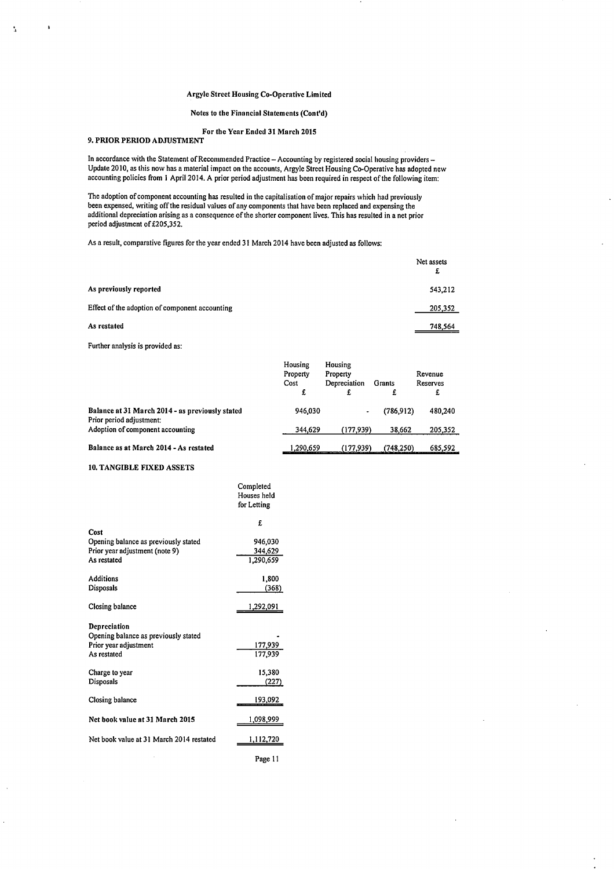#### Notes to the Financial Statements (Cont'd)

#### For the Year Ended 31 March 2015 9. PRIOR PERIOD ADJUSTMENT

In accordance with the Statement of Recommended Practice - Accounting by registered social housing providers -Update 2010, as this now has a material impact on the accounts, Argyle Street Housing Co-Operative has adopted new accounting policies from I April 2014. A prior period adjustment has been required in respect of the following item:

The adoption of component accounting has resulted in the capitalisation of major repairs which had previously been expensed, writing off the residual values of any components that have been replaced and expensing the additional depreciation arising as a consequence of the shorter component lives. This has resulted in a net prior period adjustment of £205,352.

As a result, comparative figures for the year ended 31 March 2014 have been adjusted as follows:

|                                                | Net assets<br>£ |
|------------------------------------------------|-----------------|
| As previously reported                         | 543,212         |
| Effect of the adoption of component accounting | 205,352         |
| As restated                                    | 748,564         |

Further analysis is provided as:

Å

|                                                                             | Housing<br>Property<br>Cost<br>£ | Housing<br>Property<br>Depreciation<br>£ | Grants     | Revenue<br>Reserves<br>£ |
|-----------------------------------------------------------------------------|----------------------------------|------------------------------------------|------------|--------------------------|
| Balance at 31 March 2014 - as previously stated<br>Prior period adjustment: | 946,030                          | ۰                                        | (786.912)  | 480,240                  |
| Adoption of component accounting                                            | 344,629                          | (177,939)                                | 38,662     | 205,352                  |
| Balance as at March 2014 - As restated                                      | 290.659. ا                       | (177.939)                                | (748, 250) | 685,592                  |

Completed

#### 10. TANGIBLE FIXED ASSETS

|                                          | Houses held<br>for Letting |
|------------------------------------------|----------------------------|
|                                          | £                          |
| Cost                                     |                            |
| Opening balance as previously stated     | 946,030                    |
| Prior year adjustment (note 9)           | 344,629                    |
| As restated                              | 1.290,659                  |
| Additions                                | 1,800                      |
| Disposals                                | (368)                      |
| Closing balance                          | 1,292,091                  |
| Depreciation                             |                            |
| Opening balance as previously stated     |                            |
| Prior year adjustment                    | 177,939                    |
| As restated                              | 177,939                    |
| Charge to year                           | 15,380                     |
| Disposals                                | (227)                      |
| Closing balance                          | 193,092                    |
| Net book value at 31 March 2015          | 1,098,999                  |
| Net book value at 31 March 2014 restated | 1,112,720                  |
|                                          | Page 11                    |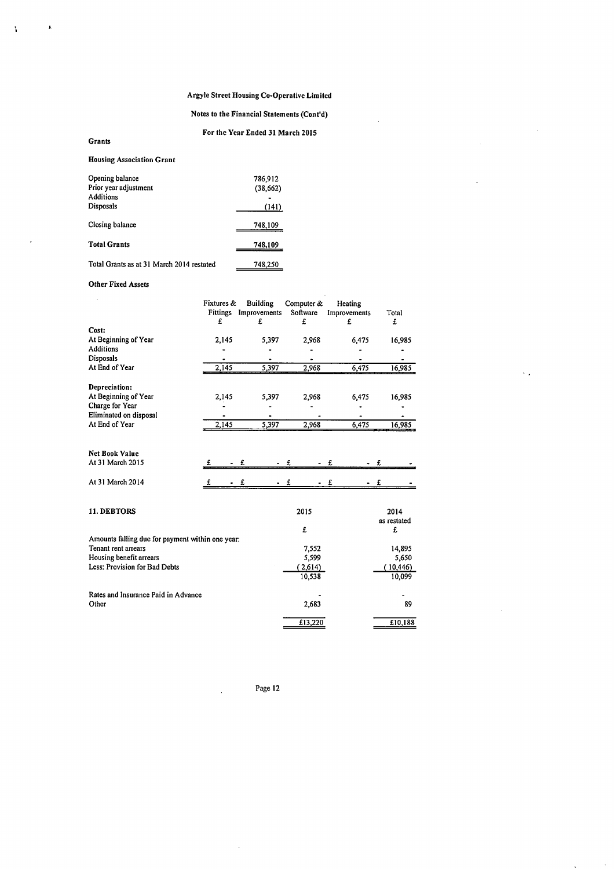## Notes to the Financial Statements (Cont'd)

## For the Year Ended 31 March 2015

## Housing Association Grant

Grants

 $\frac{1}{2}$ 

 $\mathbf{r}$ 

| Opening balance<br>Prior year adjustment<br><b>Additions</b><br>Disposals | 786,912<br>(38, 662)<br>(141) |
|---------------------------------------------------------------------------|-------------------------------|
| Closing balance                                                           | 748,109                       |
| <b>Total Grants</b>                                                       | 748.109                       |
| Total Grants as at 31 March 2014 restated                                 | 748,250                       |

### Other Fixed Assets

|                                                                         |   | Fixtures &<br>£ | <b>Building</b><br>Fittings Improvements<br>£ | Computer &<br>Software<br>£ | Heating<br>Improvements<br>£ | Total<br>£         |
|-------------------------------------------------------------------------|---|-----------------|-----------------------------------------------|-----------------------------|------------------------------|--------------------|
| Cost:                                                                   |   |                 |                                               |                             |                              |                    |
| At Beginning of Year                                                    |   | 2,145           | 5,397                                         | 2,968                       | 6,475                        | 16,985             |
| <b>Additions</b>                                                        |   |                 |                                               |                             |                              |                    |
| <b>Disposals</b>                                                        |   |                 |                                               |                             |                              |                    |
| At End of Year                                                          |   | 2,145           | 5,397                                         | 2,968                       | 6,475                        | 16,985             |
| Depreciation:                                                           |   |                 |                                               |                             |                              |                    |
| At Beginning of Year                                                    |   | 2,145           | 5,397                                         | 2,968                       | 6,475                        | 16,985             |
| Charge for Year                                                         |   |                 |                                               |                             |                              |                    |
| Eliminated on disposal                                                  |   |                 |                                               |                             |                              |                    |
| At End of Year                                                          |   | 2,145           | 5,397                                         | 2,968                       | 6,475                        | 16,985             |
|                                                                         |   |                 |                                               |                             |                              |                    |
| <b>Net Book Value</b>                                                   |   |                 |                                               |                             |                              |                    |
| At 31 March 2015                                                        | £ |                 | £                                             | £                           | £                            | £                  |
| At 31 March 2014                                                        | £ |                 | - £                                           | £                           | £                            | £                  |
| 11. DEBTORS                                                             |   |                 |                                               | 2015                        |                              | 2014               |
|                                                                         |   |                 |                                               |                             |                              | as restated        |
|                                                                         |   |                 |                                               | £                           |                              | £                  |
| Amounts falling due for payment within one year:<br>Tenant rent arrears |   |                 |                                               |                             |                              |                    |
| Housing benefit arrears                                                 |   |                 |                                               | 7,552<br>5,599              |                              | 14,895             |
| Less: Provision for Bad Debts                                           |   |                 |                                               | (2,614)                     |                              | 5,650<br>(10, 446) |
|                                                                         |   |                 |                                               | 10,538                      |                              | 10,099             |
| Rates and Insurance Paid in Advance                                     |   |                 |                                               |                             |                              |                    |
| Other                                                                   |   |                 |                                               | 2,683                       |                              | 89                 |
|                                                                         |   |                 |                                               | £13,220                     |                              | £10,188            |

 $\sim$ 

Page 12

 $\lambda$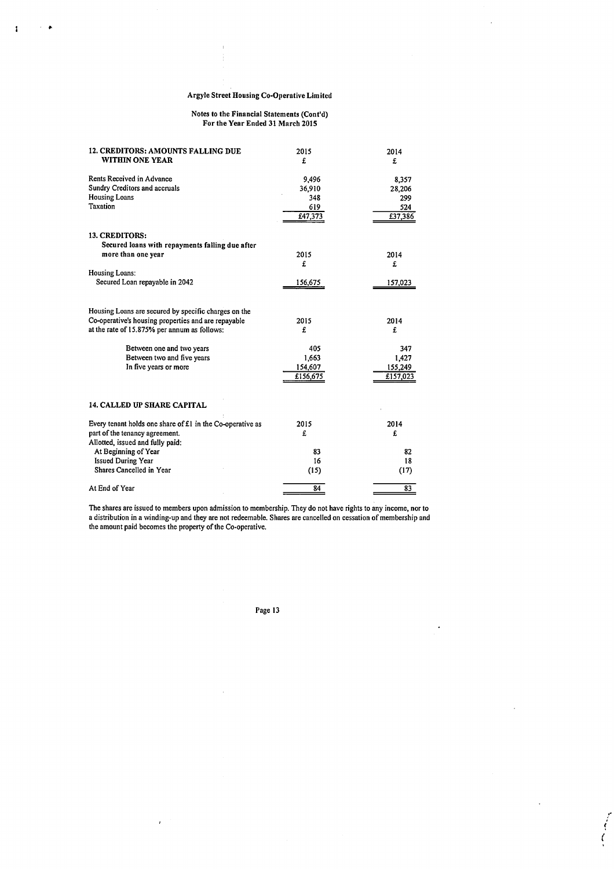$\pmb{\mathbf{i}}$ 

 $\mathbf{r}$  $\bullet$ 

#### Notes to the Financial Statements (Cont'd) For the Year Ended 31 March 2015

| <b>12. CREDITORS: AMOUNTS FALLING DUE</b><br>WITHIN ONE YEAR | 2015<br>£ | 2014<br>£ |  |  |
|--------------------------------------------------------------|-----------|-----------|--|--|
| Rents Received in Advance                                    | 9,496     | 8,357     |  |  |
| Sundry Creditors and accruals                                | 36,910    | 28,206    |  |  |
| <b>Housing Loans</b>                                         | 348       | 299       |  |  |
| Taxation                                                     | 619       | 524       |  |  |
|                                                              | £47,373   | £37,386   |  |  |
| 13. CREDITORS:                                               |           |           |  |  |
| Secured loans with repayments falling due after              |           |           |  |  |
| more than one year                                           | 2015      | 2014      |  |  |
|                                                              | £         | £         |  |  |
| <b>Housing Loans:</b>                                        |           |           |  |  |
| Secured Loan repayable in 2042                               | 156,675   | 157,023   |  |  |
|                                                              |           |           |  |  |
| Housing Loans are secured by specific charges on the         |           |           |  |  |
| Co-operative's housing properties and are repayable          | 2015      | 2014      |  |  |
| at the rate of 15.875% per annum as follows:                 | £         | £         |  |  |
| Between one and two years                                    | 405       | 347       |  |  |
| Between two and five years                                   | 1,663     | 1,427     |  |  |
| In five years or more                                        | 154,607   | 155,249   |  |  |
|                                                              | £156,675  | £157,023  |  |  |
|                                                              |           |           |  |  |
| <b>14. CALLED UP SHARE CAPITAL</b>                           |           |           |  |  |
| Every tenant holds one share of £1 in the Co-operative as    | 2015      | 2014      |  |  |
| part of the tenancy agreement.                               | £         | £         |  |  |
| Allotted, issued and fully paid:                             |           |           |  |  |
| At Beginning of Year                                         | 83        | 82        |  |  |
| <b>Issued During Year</b>                                    | 16        | 18        |  |  |
| Shares Cancelled in Year                                     | (15)      | (17)      |  |  |
| At End of Year                                               | 84        | 83        |  |  |

The shares are issued to members upon admission to membership. They do not have rights to any income, nor to a distribution in a winding-up and they are not redeemable. Shares are cancelled on cessation of membership and the amount paid becomes the property of the Co-operative.

Page 13

 $\overline{1}$ 

 $\bar{I}$ 

.

,.  $\epsilon$  : *(*